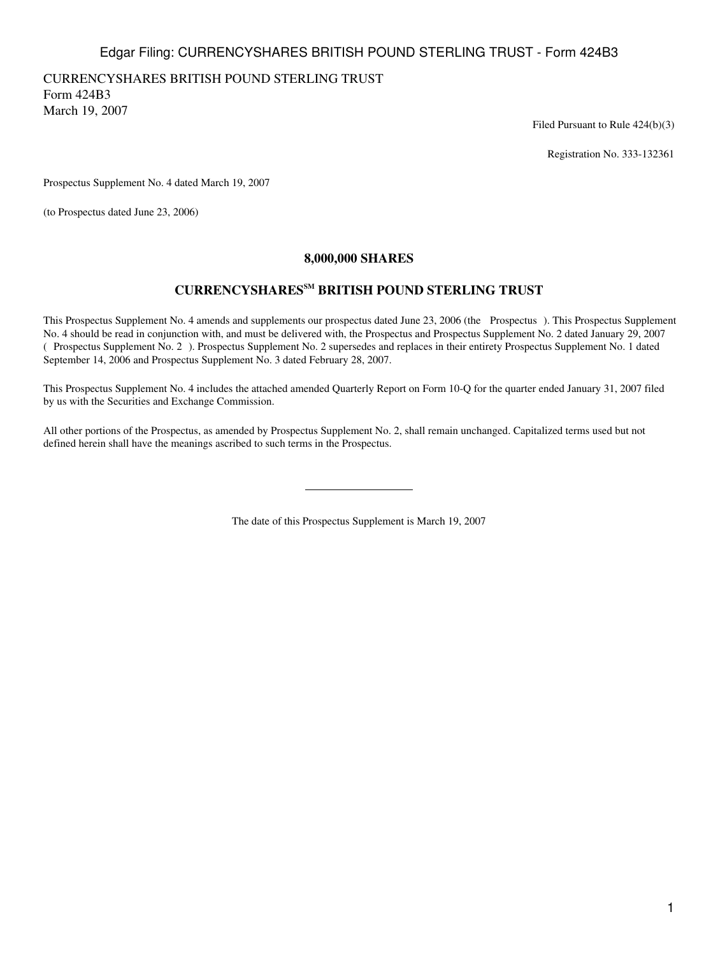# Edgar Filing: CURRENCYSHARES BRITISH POUND STERLING TRUST - Form 424B3

# CURRENCYSHARES BRITISH POUND STERLING TRUST

Form 424B3 March 19, 2007

Filed Pursuant to Rule 424(b)(3)

Registration No. 333-132361

Prospectus Supplement No. 4 dated March 19, 2007

(to Prospectus dated June 23, 2006)

## **8,000,000 SHARES**

# **CURRENCYSHARESSM BRITISH POUND STERLING TRUST**

This Prospectus Supplement No. 4 amends and supplements our prospectus dated June 23, 2006 (the Prospectus). This Prospectus Supplement No. 4 should be read in conjunction with, and must be delivered with, the Prospectus and Prospectus Supplement No. 2 dated January 29, 2007 (Prospectus Supplement No. 2). Prospectus Supplement No. 2 supersedes and replaces in their entirety Prospectus Supplement No. 1 dated September 14, 2006 and Prospectus Supplement No. 3 dated February 28, 2007.

This Prospectus Supplement No. 4 includes the attached amended Quarterly Report on Form 10-Q for the quarter ended January 31, 2007 filed by us with the Securities and Exchange Commission.

All other portions of the Prospectus, as amended by Prospectus Supplement No. 2, shall remain unchanged. Capitalized terms used but not defined herein shall have the meanings ascribed to such terms in the Prospectus.

The date of this Prospectus Supplement is March 19, 2007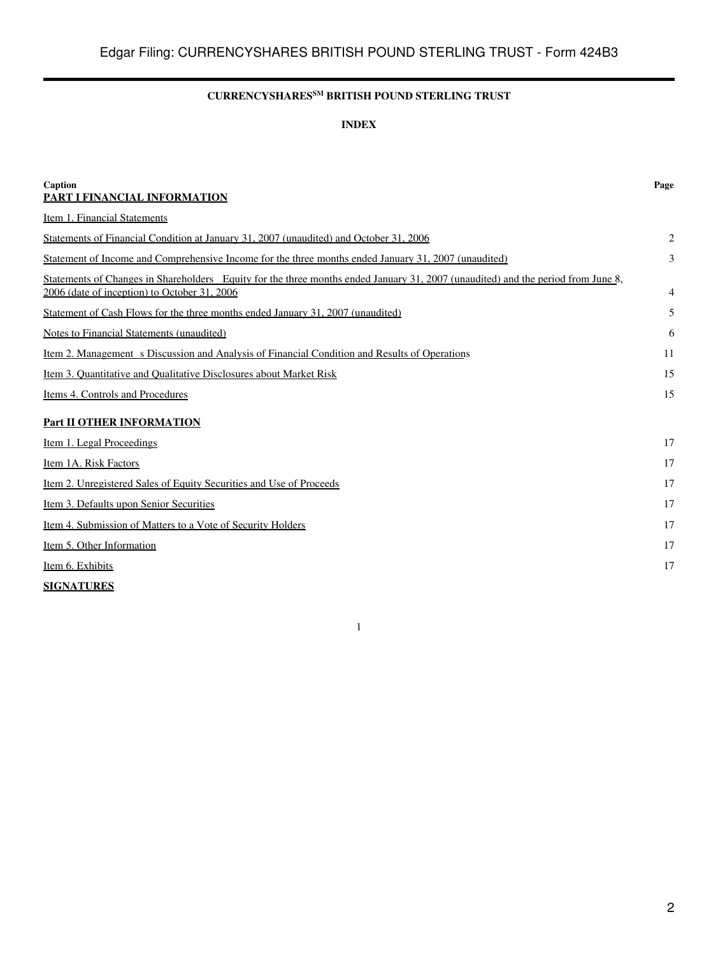# **CURRENCYSHARESSM BRITISH POUND STERLING TRUST**

## **INDEX**

| Caption<br>PART I FINANCIAL INFORMATION                                                                                                                                          | Page           |
|----------------------------------------------------------------------------------------------------------------------------------------------------------------------------------|----------------|
| Item 1. Financial Statements                                                                                                                                                     |                |
| Statements of Financial Condition at January 31, 2007 (unaudited) and October 31, 2006                                                                                           | $\overline{2}$ |
| Statement of Income and Comprehensive Income for the three months ended January 31, 2007 (unaudited)                                                                             | 3              |
| Statements of Changes in Shareholders Equity for the three months ended January 31, 2007 (unaudited) and the period from June 8,<br>2006 (date of inception) to October 31, 2006 | 4              |
| Statement of Cash Flows for the three months ended January 31, 2007 (unaudited)                                                                                                  | 5              |
| Notes to Financial Statements (unaudited)                                                                                                                                        | 6              |
| Item 2. Management s Discussion and Analysis of Financial Condition and Results of Operations                                                                                    | 11             |
| Item 3. Quantitative and Qualitative Disclosures about Market Risk                                                                                                               | 15             |
| Items 4. Controls and Procedures                                                                                                                                                 | 15             |
| <b>Part II OTHER INFORMATION</b>                                                                                                                                                 |                |
| Item 1. Legal Proceedings                                                                                                                                                        | 17             |
| Item 1A. Risk Factors                                                                                                                                                            | 17             |
| Item 2. Unregistered Sales of Equity Securities and Use of Proceeds                                                                                                              | 17             |
| Item 3. Defaults upon Senior Securities                                                                                                                                          | 17             |
| Item 4. Submission of Matters to a Vote of Security Holders                                                                                                                      | 17             |
| Item 5. Other Information                                                                                                                                                        | 17             |
| Item 6. Exhibits                                                                                                                                                                 | 17             |
| <b>SIGNATURES</b>                                                                                                                                                                |                |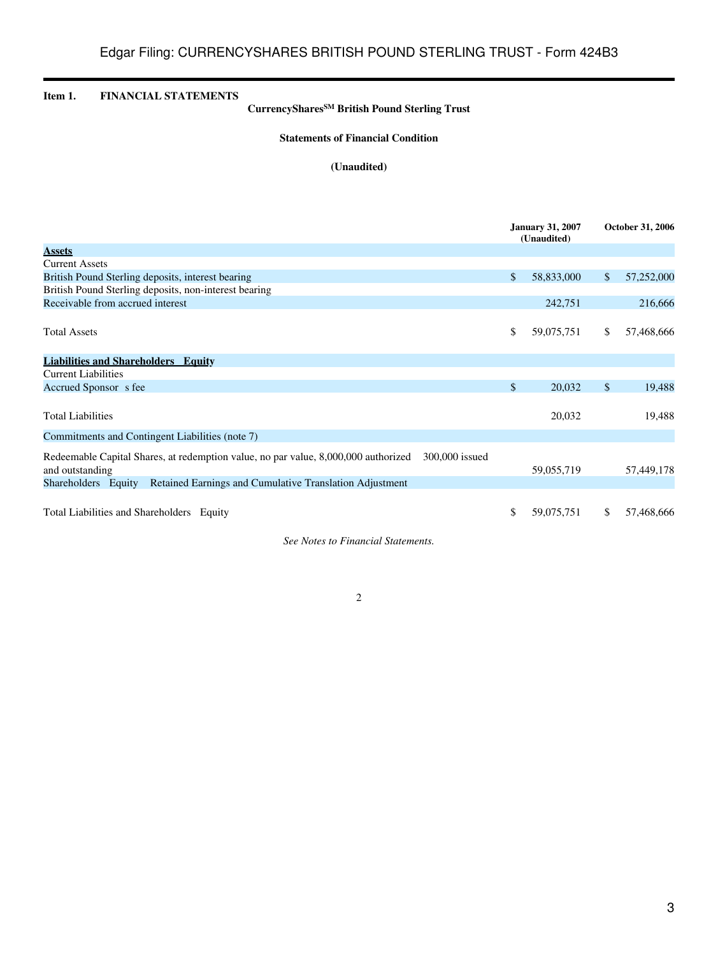<span id="page-2-1"></span><span id="page-2-0"></span>

| <b>FINANCIAL STATEMENTS</b><br>Item 1.                                                                     | CurrencyShares <sup>SM</sup> British Pound Sterling Trust                          |                |                                        |               |                  |
|------------------------------------------------------------------------------------------------------------|------------------------------------------------------------------------------------|----------------|----------------------------------------|---------------|------------------|
|                                                                                                            | <b>Statements of Financial Condition</b>                                           |                |                                        |               |                  |
|                                                                                                            | (Unaudited)                                                                        |                |                                        |               |                  |
|                                                                                                            |                                                                                    |                |                                        |               |                  |
|                                                                                                            |                                                                                    |                | <b>January 31, 2007</b><br>(Unaudited) |               | October 31, 2006 |
| <b>Assets</b>                                                                                              |                                                                                    |                |                                        |               |                  |
| <b>Current Assets</b>                                                                                      |                                                                                    |                |                                        |               |                  |
| British Pound Sterling deposits, interest bearing<br>British Pound Sterling deposits, non-interest bearing |                                                                                    | \$             | 58,833,000                             | $\mathcal{S}$ | 57,252,000       |
| Receivable from accrued interest                                                                           |                                                                                    |                | 242,751                                |               | 216,666          |
|                                                                                                            |                                                                                    |                |                                        |               |                  |
| <b>Total Assets</b>                                                                                        |                                                                                    | \$             | 59,075,751                             | \$            | 57,468,666       |
| <b>Liabilities and Shareholders Equity</b>                                                                 |                                                                                    |                |                                        |               |                  |
| <b>Current Liabilities</b>                                                                                 |                                                                                    |                |                                        |               |                  |
| Accrued Sponsor s fee                                                                                      |                                                                                    | \$             | 20,032                                 | $\mathcal{S}$ | 19,488           |
|                                                                                                            |                                                                                    |                |                                        |               |                  |
| <b>Total Liabilities</b>                                                                                   |                                                                                    |                | 20,032                                 |               | 19,488           |
| Commitments and Contingent Liabilities (note 7)                                                            |                                                                                    |                |                                        |               |                  |
| and outstanding                                                                                            | Redeemable Capital Shares, at redemption value, no par value, 8,000,000 authorized | 300,000 issued | 59,055,719                             |               | 57,449,178       |
| Shareholders Equity                                                                                        | Retained Earnings and Cumulative Translation Adjustment                            |                |                                        |               |                  |
|                                                                                                            |                                                                                    |                |                                        |               |                  |
| Total Liabilities and Shareholders Equity                                                                  |                                                                                    | \$             | 59,075,751                             | \$            | 57,468,666       |

*See Notes to Financial Statements.*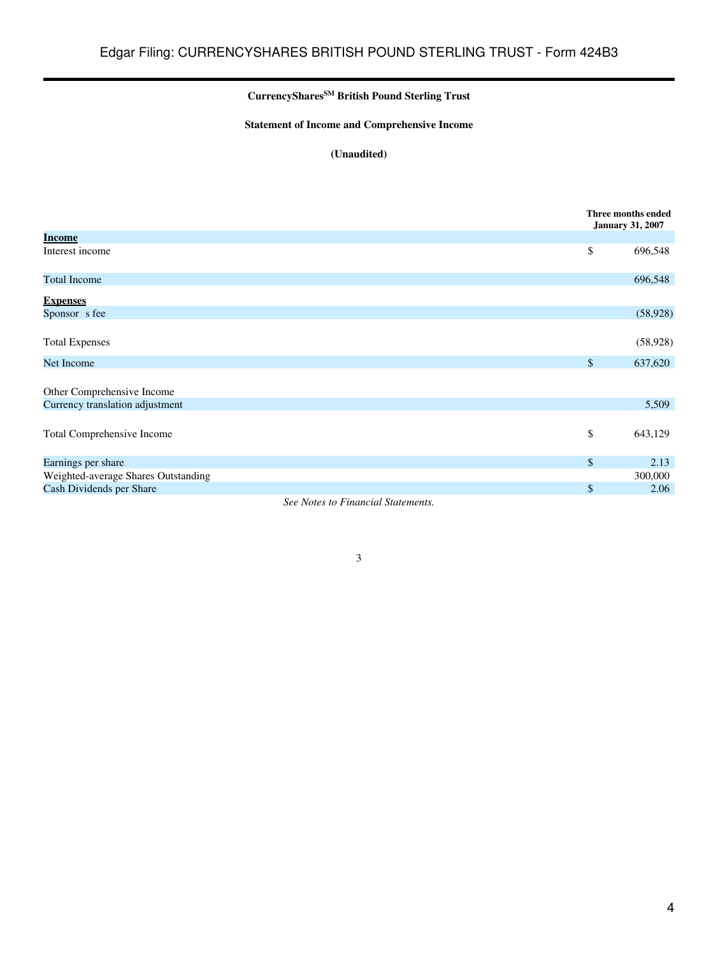# **CurrencySharesSM British Pound Sterling Trust**

# **Statement of Income and Comprehensive Income**

# **(Unaudited)**

<span id="page-3-0"></span>

|                                                                    | Three months ended<br><b>January 31, 2007</b> |
|--------------------------------------------------------------------|-----------------------------------------------|
| <b>Income</b>                                                      |                                               |
| Interest income                                                    | \$<br>696,548                                 |
| <b>Total Income</b>                                                | 696,548                                       |
| <b>Expenses</b>                                                    |                                               |
| Sponsor s fee                                                      | (58, 928)                                     |
|                                                                    |                                               |
| <b>Total Expenses</b>                                              | (58, 928)                                     |
| Net Income                                                         | \$<br>637,620                                 |
|                                                                    |                                               |
| Other Comprehensive Income                                         |                                               |
| Currency translation adjustment                                    | 5,509                                         |
|                                                                    |                                               |
| Total Comprehensive Income                                         | \$<br>643,129                                 |
|                                                                    |                                               |
| Earnings per share                                                 | \$<br>2.13                                    |
| Weighted-average Shares Outstanding                                | 300,000                                       |
| Cash Dividends per Share                                           | \$<br>2.06                                    |
| $\sim$<br>$\cdot$ $\cdot$ $\sim$<br>$\sim$<br>$\sim$ $\sim$ $\sim$ |                                               |

*See Notes to Financial Statements.*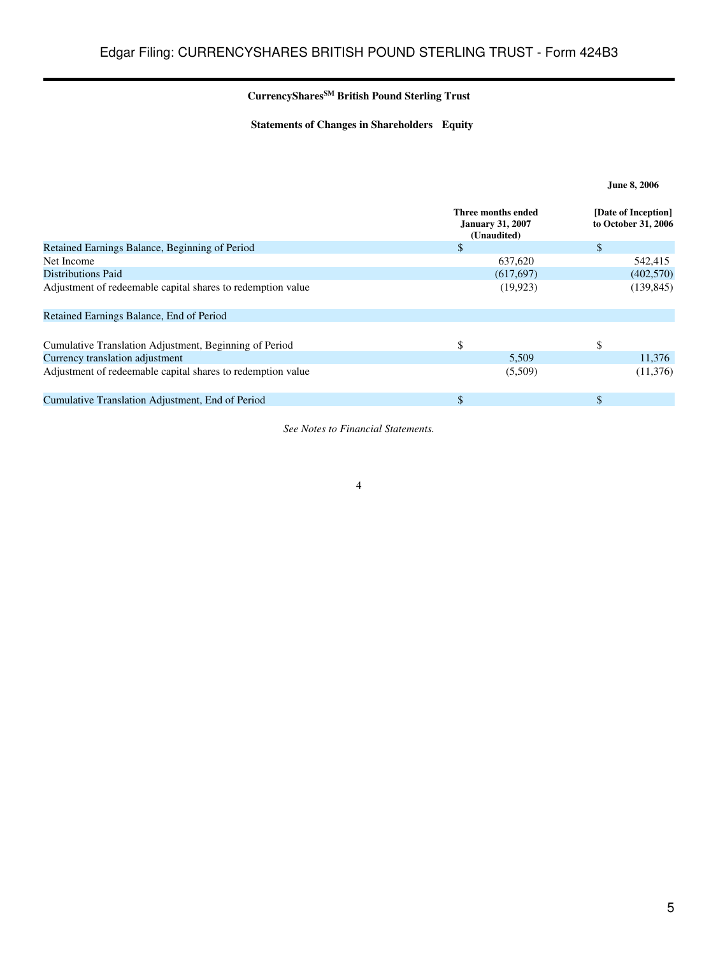# **CurrencySharesSM British Pound Sterling Trust**

**Statements of Changes in Shareholders Equity**

<span id="page-4-0"></span>

|                                                             | Three months ended<br><b>January 31, 2007</b><br>(Unaudited) | [Date of Inception]<br>to October 31, 2006 |
|-------------------------------------------------------------|--------------------------------------------------------------|--------------------------------------------|
| Retained Earnings Balance, Beginning of Period              | $\mathbb{S}$                                                 | \$                                         |
| Net Income                                                  | 637,620                                                      | 542,415                                    |
| Distributions Paid                                          | (617, 697)                                                   | (402, 570)                                 |
| Adjustment of redeemable capital shares to redemption value | (19, 923)                                                    | (139, 845)                                 |
| Retained Earnings Balance, End of Period                    |                                                              |                                            |
| Cumulative Translation Adjustment, Beginning of Period      | \$                                                           | S                                          |
| Currency translation adjustment                             | 5,509                                                        | 11,376                                     |
| Adjustment of redeemable capital shares to redemption value | (5,509)                                                      | (11,376)                                   |
| Cumulative Translation Adjustment, End of Period            | \$                                                           | \$                                         |

*See Notes to Financial Statements.*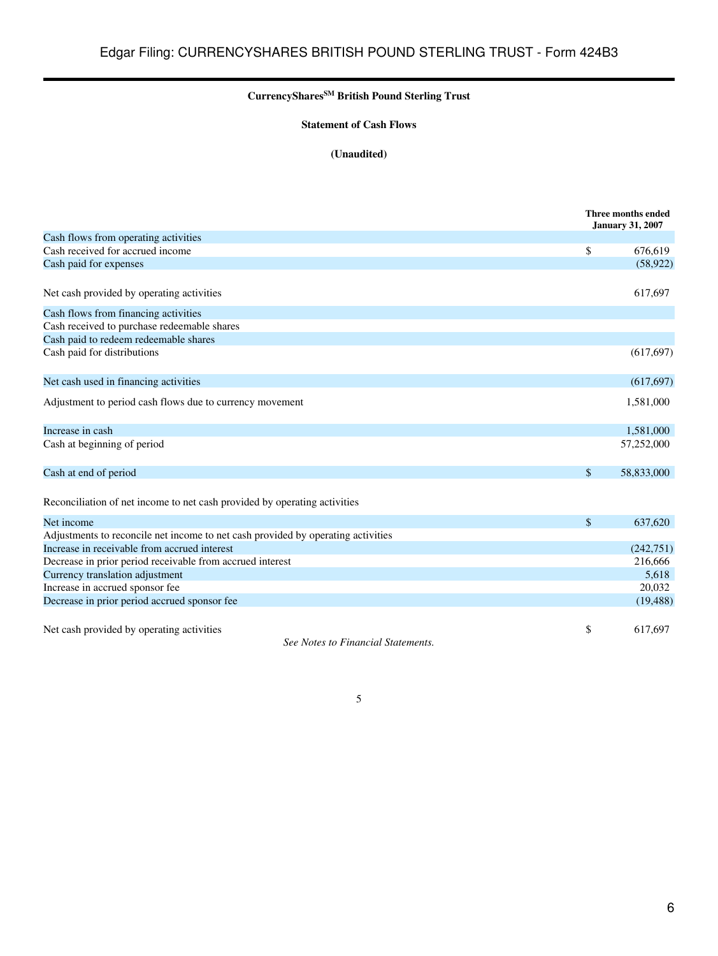# **CurrencySharesSM British Pound Sterling Trust**

## **Statement of Cash Flows**

# **(Unaudited)**

<span id="page-5-0"></span>

|                                                                                  | Three months ended<br><b>January 31, 2007</b> |
|----------------------------------------------------------------------------------|-----------------------------------------------|
| Cash flows from operating activities                                             |                                               |
| Cash received for accrued income                                                 | \$<br>676,619                                 |
| Cash paid for expenses                                                           | (58, 922)                                     |
| Net cash provided by operating activities                                        | 617,697                                       |
| Cash flows from financing activities                                             |                                               |
| Cash received to purchase redeemable shares                                      |                                               |
| Cash paid to redeem redeemable shares                                            |                                               |
| Cash paid for distributions                                                      | (617, 697)                                    |
| Net cash used in financing activities                                            | (617, 697)                                    |
| Adjustment to period cash flows due to currency movement                         | 1,581,000                                     |
| Increase in cash                                                                 | 1,581,000                                     |
| Cash at beginning of period                                                      | 57,252,000                                    |
| Cash at end of period                                                            | \$<br>58,833,000                              |
| Reconciliation of net income to net cash provided by operating activities        |                                               |
| Net income                                                                       | \$<br>637,620                                 |
| Adjustments to reconcile net income to net cash provided by operating activities |                                               |
| Increase in receivable from accrued interest                                     | (242, 751)                                    |
| Decrease in prior period receivable from accrued interest                        | 216,666                                       |
| Currency translation adjustment                                                  | 5,618                                         |
| Increase in accrued sponsor fee                                                  | 20,032                                        |
| Decrease in prior period accrued sponsor fee                                     | (19, 488)                                     |
| Net cash provided by operating activities<br>See Notes to Financial Statements.  | \$<br>617,697                                 |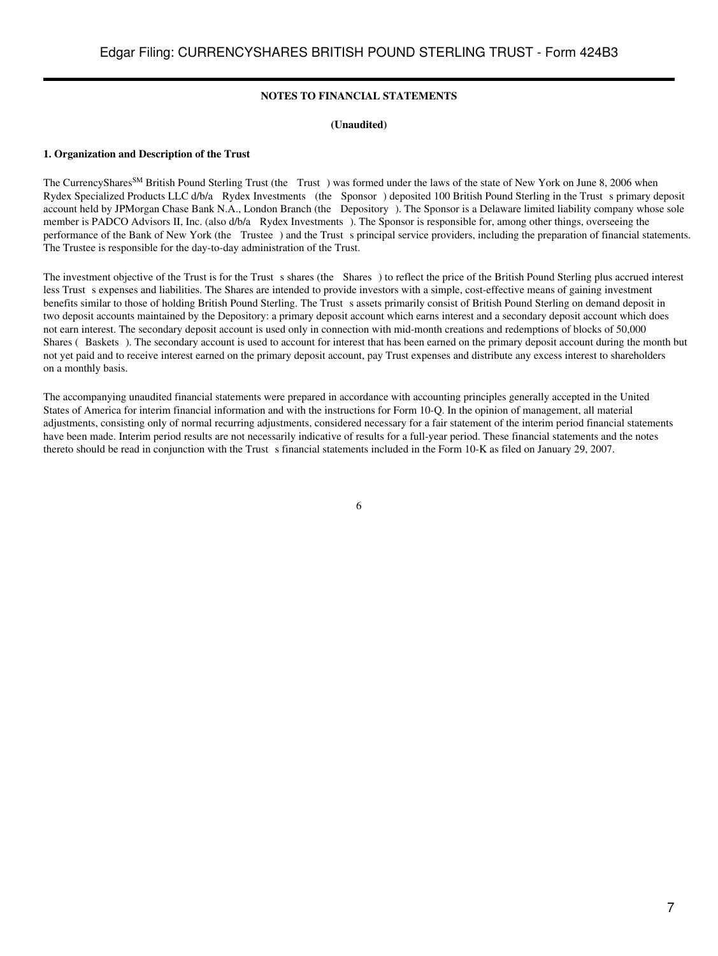### **NOTES TO FINANCIAL STATEMENTS**

#### **(Unaudited)**

#### <span id="page-6-0"></span>**1. Organization and Description of the Trust**

The CurrencyShares<sup>SM</sup> British Pound Sterling Trust (the Trust) was formed under the laws of the state of New York on June 8, 2006 when Rydex Specialized Products LLC d/b/a Rydex Investments (the Sponsor) deposited 100 British Pound Sterling in the Trust s primary deposit account held by JPMorgan Chase Bank N.A., London Branch (the Depository). The Sponsor is a Delaware limited liability company whose sole member is PADCO Advisors II, Inc. (also d/b/a Rydex Investments). The Sponsor is responsible for, among other things, overseeing the performance of the Bank of New York (the Trustee) and the Trust s principal service providers, including the preparation of financial statements. The Trustee is responsible for the day-to-day administration of the Trust.

The investment objective of the Trust is for the Trust s shares (the Shares) to reflect the price of the British Pound Sterling plus accrued interest less Trust s expenses and liabilities. The Shares are intended to provide investors with a simple, cost-effective means of gaining investment benefits similar to those of holding British Pound Sterling. The Trust s assets primarily consist of British Pound Sterling on demand deposit in two deposit accounts maintained by the Depository: a primary deposit account which earns interest and a secondary deposit account which does not earn interest. The secondary deposit account is used only in connection with mid-month creations and redemptions of blocks of 50,000 Shares (Baskets). The secondary account is used to account for interest that has been earned on the primary deposit account during the month but not yet paid and to receive interest earned on the primary deposit account, pay Trust expenses and distribute any excess interest to shareholders on a monthly basis.

The accompanying unaudited financial statements were prepared in accordance with accounting principles generally accepted in the United States of America for interim financial information and with the instructions for Form 10-Q. In the opinion of management, all material adjustments, consisting only of normal recurring adjustments, considered necessary for a fair statement of the interim period financial statements have been made. Interim period results are not necessarily indicative of results for a full-year period. These financial statements and the notes thereto should be read in conjunction with the Trust s financial statements included in the Form  $10-K$  as filed on January 29, 2007.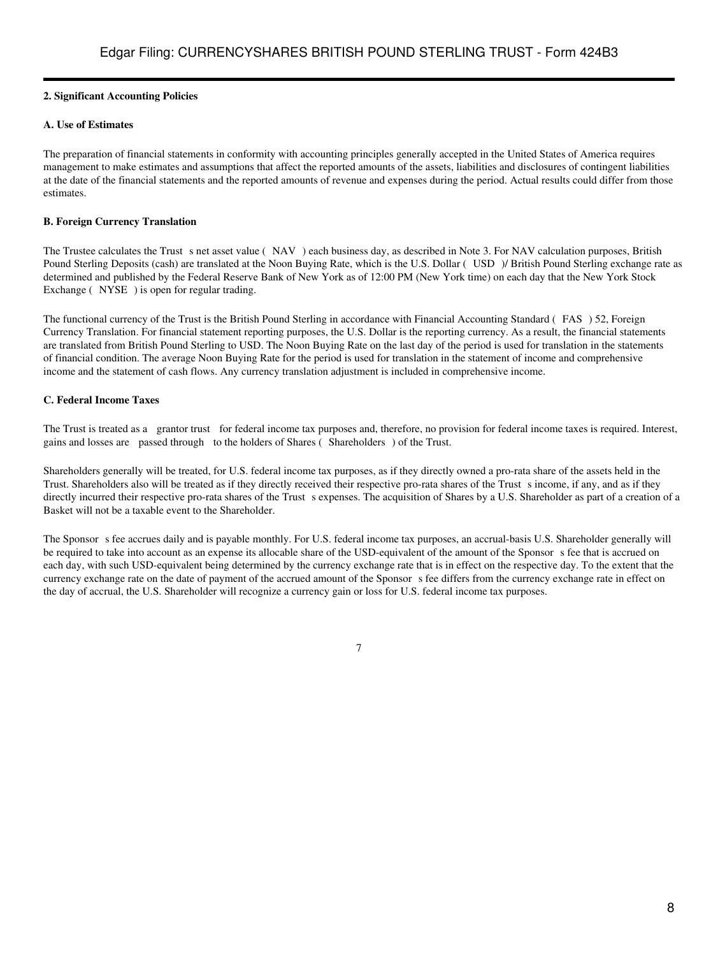### **2. Significant Accounting Policies**

### **A. Use of Estimates**

The preparation of financial statements in conformity with accounting principles generally accepted in the United States of America requires management to make estimates and assumptions that affect the reported amounts of the assets, liabilities and disclosures of contingent liabilities at the date of the financial statements and the reported amounts of revenue and expenses during the period. Actual results could differ from those estimates.

### **B. Foreign Currency Translation**

The Trustee calculates the Trust s net asset value (NAV) each business day, as described in Note 3. For NAV calculation purposes, British Pound Sterling Deposits (cash) are translated at the Noon Buying Rate, which is the U.S. Dollar (USD) / British Pound Sterling exchange rate as determined and published by the Federal Reserve Bank of New York as of 12:00 PM (New York time) on each day that the New York Stock Exchange (NYSE) is open for regular trading.

The functional currency of the Trust is the British Pound Sterling in accordance with Financial Accounting Standard (FAS) 52, Foreign Currency Translation. For financial statement reporting purposes, the U.S. Dollar is the reporting currency. As a result, the financial statements are translated from British Pound Sterling to USD. The Noon Buying Rate on the last day of the period is used for translation in the statements of financial condition. The average Noon Buying Rate for the period is used for translation in the statement of income and comprehensive income and the statement of cash flows. Any currency translation adjustment is included in comprehensive income.

## **C. Federal Income Taxes**

The Trust is treated as a grantor trust for federal income tax purposes and, therefore, no provision for federal income taxes is required. Interest, gains and losses are passed through to the holders of Shares (Shareholders) of the Trust.

Shareholders generally will be treated, for U.S. federal income tax purposes, as if they directly owned a pro-rata share of the assets held in the Trust. Shareholders also will be treated as if they directly received their respective pro-rata shares of the Trusts income, if any, and as if they directly incurred their respective pro-rata shares of the Trust s expenses. The acquisition of Shares by a U.S. Shareholder as part of a creation of a Basket will not be a taxable event to the Shareholder.

The Sponsor s fee accrues daily and is payable monthly. For U.S. federal income tax purposes, an accrual-basis U.S. Shareholder generally will be required to take into account as an expense its allocable share of the USD-equivalent of the amount of the Sponsor s fee that is accrued on each day, with such USD-equivalent being determined by the currency exchange rate that is in effect on the respective day. To the extent that the currency exchange rate on the date of payment of the accrued amount of the Sponsors fee differs from the currency exchange rate in effect on the day of accrual, the U.S. Shareholder will recognize a currency gain or loss for U.S. federal income tax purposes.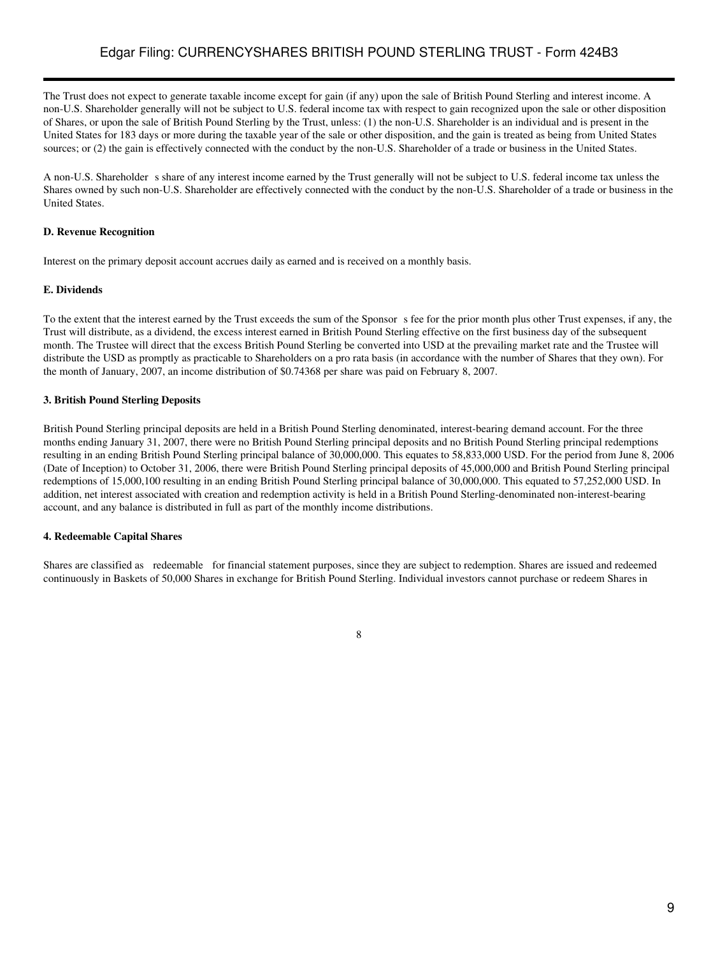The Trust does not expect to generate taxable income except for gain (if any) upon the sale of British Pound Sterling and interest income. A non-U.S. Shareholder generally will not be subject to U.S. federal income tax with respect to gain recognized upon the sale or other disposition of Shares, or upon the sale of British Pound Sterling by the Trust, unless: (1) the non-U.S. Shareholder is an individual and is present in the United States for 183 days or more during the taxable year of the sale or other disposition, and the gain is treated as being from United States sources; or (2) the gain is effectively connected with the conduct by the non-U.S. Shareholder of a trade or business in the United States.

A non-U.S. Shareholder s share of any interest income earned by the Trust generally will not be subject to U.S. federal income tax unless the Shares owned by such non-U.S. Shareholder are effectively connected with the conduct by the non-U.S. Shareholder of a trade or business in the United States.

#### **D. Revenue Recognition**

Interest on the primary deposit account accrues daily as earned and is received on a monthly basis.

#### **E. Dividends**

To the extent that the interest earned by the Trust exceeds the sum of the Sponsor s fee for the prior month plus other Trust expenses, if any, the Trust will distribute, as a dividend, the excess interest earned in British Pound Sterling effective on the first business day of the subsequent month. The Trustee will direct that the excess British Pound Sterling be converted into USD at the prevailing market rate and the Trustee will distribute the USD as promptly as practicable to Shareholders on a pro rata basis (in accordance with the number of Shares that they own). For the month of January, 2007, an income distribution of \$0.74368 per share was paid on February 8, 2007.

## **3. British Pound Sterling Deposits**

British Pound Sterling principal deposits are held in a British Pound Sterling denominated, interest-bearing demand account. For the three months ending January 31, 2007, there were no British Pound Sterling principal deposits and no British Pound Sterling principal redemptions resulting in an ending British Pound Sterling principal balance of 30,000,000. This equates to 58,833,000 USD. For the period from June 8, 2006 (Date of Inception) to October 31, 2006, there were British Pound Sterling principal deposits of 45,000,000 and British Pound Sterling principal redemptions of 15,000,100 resulting in an ending British Pound Sterling principal balance of 30,000,000. This equated to 57,252,000 USD. In addition, net interest associated with creation and redemption activity is held in a British Pound Sterling-denominated non-interest-bearing account, and any balance is distributed in full as part of the monthly income distributions.

#### **4. Redeemable Capital Shares**

Shares are classified as redeemable for financial statement purposes, since they are subject to redemption. Shares are issued and redeemed continuously in Baskets of 50,000 Shares in exchange for British Pound Sterling. Individual investors cannot purchase or redeem Shares in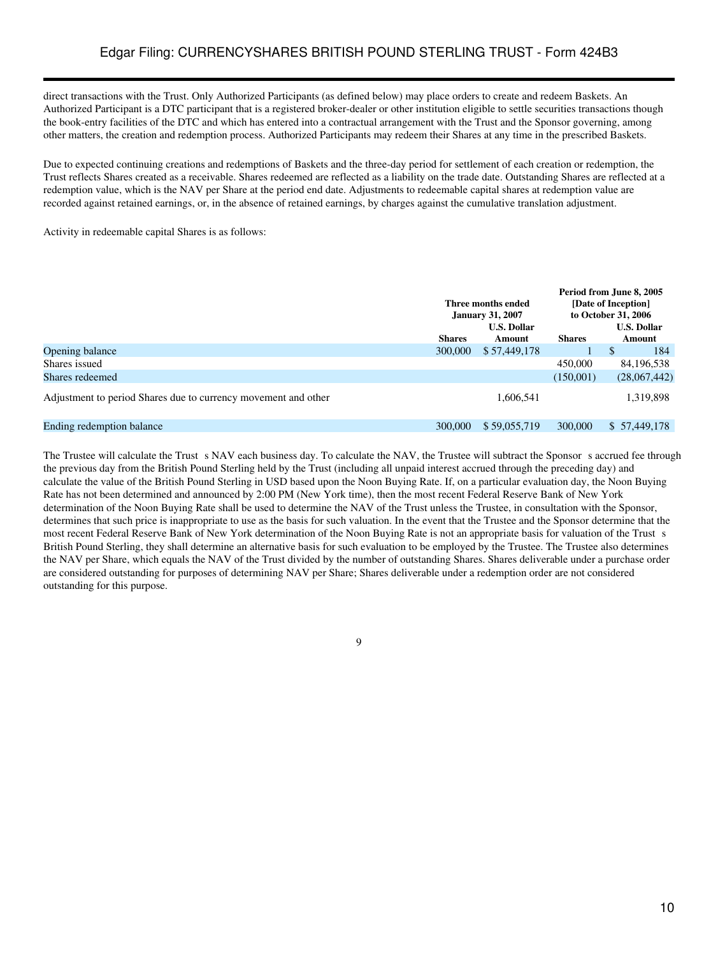direct transactions with the Trust. Only Authorized Participants (as defined below) may place orders to create and redeem Baskets. An Authorized Participant is a DTC participant that is a registered broker-dealer or other institution eligible to settle securities transactions though the book-entry facilities of the DTC and which has entered into a contractual arrangement with the Trust and the Sponsor governing, among other matters, the creation and redemption process. Authorized Participants may redeem their Shares at any time in the prescribed Baskets.

Due to expected continuing creations and redemptions of Baskets and the three-day period for settlement of each creation or redemption, the Trust reflects Shares created as a receivable. Shares redeemed are reflected as a liability on the trade date. Outstanding Shares are reflected at a redemption value, which is the NAV per Share at the period end date. Adjustments to redeemable capital shares at redemption value are recorded against retained earnings, or, in the absence of retained earnings, by charges against the cumulative translation adjustment.

Activity in redeemable capital Shares is as follows:

|                                                                | Three months ended<br><b>January 31, 2007</b><br><b>U.S. Dollar</b> |              | Period from June 8, 2005<br>[Date of Inception]<br>to October 31, 2006<br><b>U.S. Dollar</b> |                     |
|----------------------------------------------------------------|---------------------------------------------------------------------|--------------|----------------------------------------------------------------------------------------------|---------------------|
|                                                                | <b>Shares</b>                                                       | Amount       | <b>Shares</b>                                                                                | Amount              |
| Opening balance                                                | 300,000                                                             | \$57,449,178 |                                                                                              | <sup>S</sup><br>184 |
| Shares issued                                                  |                                                                     |              | 450,000                                                                                      | 84, 196, 538        |
| Shares redeemed                                                |                                                                     |              | (150,001)                                                                                    | (28,067,442)        |
| Adjustment to period Shares due to currency movement and other |                                                                     | 1,606,541    |                                                                                              | 1,319,898           |
| Ending redemption balance                                      | 300,000                                                             | \$59,055,719 | 300,000                                                                                      | \$ 57,449,178       |

The Trustee will calculate the Trust s NAV each business day. To calculate the NAV, the Trustee will subtract the Sponsor s accrued fee through the previous day from the British Pound Sterling held by the Trust (including all unpaid interest accrued through the preceding day) and calculate the value of the British Pound Sterling in USD based upon the Noon Buying Rate. If, on a particular evaluation day, the Noon Buying Rate has not been determined and announced by 2:00 PM (New York time), then the most recent Federal Reserve Bank of New York determination of the Noon Buying Rate shall be used to determine the NAV of the Trust unless the Trustee, in consultation with the Sponsor, determines that such price is inappropriate to use as the basis for such valuation. In the event that the Trustee and the Sponsor determine that the most recent Federal Reserve Bank of New York determination of the Noon Buying Rate is not an appropriate basis for valuation of the Trust s British Pound Sterling, they shall determine an alternative basis for such evaluation to be employed by the Trustee. The Trustee also determines the NAV per Share, which equals the NAV of the Trust divided by the number of outstanding Shares. Shares deliverable under a purchase order are considered outstanding for purposes of determining NAV per Share; Shares deliverable under a redemption order are not considered outstanding for this purpose.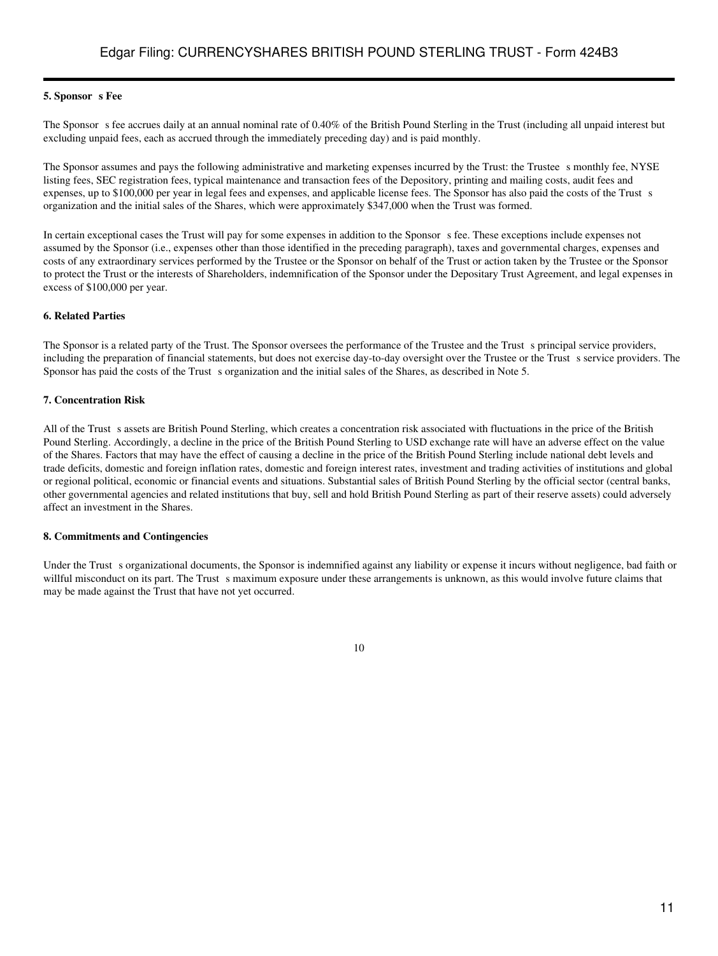#### **5. Sponsor s** Fee

The Sponsor s fee accrues daily at an annual nominal rate of 0.40% of the British Pound Sterling in the Trust (including all unpaid interest but excluding unpaid fees, each as accrued through the immediately preceding day) and is paid monthly.

The Sponsor assumes and pays the following administrative and marketing expenses incurred by the Trust: the Trustee s monthly fee, NYSE listing fees, SEC registration fees, typical maintenance and transaction fees of the Depository, printing and mailing costs, audit fees and expenses, up to \$100,000 per year in legal fees and expenses, and applicable license fees. The Sponsor has also paid the costs of the Trust s organization and the initial sales of the Shares, which were approximately \$347,000 when the Trust was formed.

In certain exceptional cases the Trust will pay for some expenses in addition to the Sponsor s fee. These exceptions include expenses not assumed by the Sponsor (i.e., expenses other than those identified in the preceding paragraph), taxes and governmental charges, expenses and costs of any extraordinary services performed by the Trustee or the Sponsor on behalf of the Trust or action taken by the Trustee or the Sponsor to protect the Trust or the interests of Shareholders, indemnification of the Sponsor under the Depositary Trust Agreement, and legal expenses in excess of \$100,000 per year.

#### **6. Related Parties**

The Sponsor is a related party of the Trust. The Sponsor oversees the performance of the Trustee and the Trust s principal service providers, including the preparation of financial statements, but does not exercise day-to-day oversight over the Trustee or the Trust s service providers. The Sponsor has paid the costs of the Trust s organization and the initial sales of the Shares, as described in Note 5.

#### **7. Concentration Risk**

All of the Trust s assets are British Pound Sterling, which creates a concentration risk associated with fluctuations in the price of the British Pound Sterling. Accordingly, a decline in the price of the British Pound Sterling to USD exchange rate will have an adverse effect on the value of the Shares. Factors that may have the effect of causing a decline in the price of the British Pound Sterling include national debt levels and trade deficits, domestic and foreign inflation rates, domestic and foreign interest rates, investment and trading activities of institutions and global or regional political, economic or financial events and situations. Substantial sales of British Pound Sterling by the official sector (central banks, other governmental agencies and related institutions that buy, sell and hold British Pound Sterling as part of their reserve assets) could adversely affect an investment in the Shares.

#### **8. Commitments and Contingencies**

Under the Trust s organizational documents, the Sponsor is indemnified against any liability or expense it incurs without negligence, bad faith or willful misconduct on its part. The Trust s maximum exposure under these arrangements is unknown, as this would involve future claims that may be made against the Trust that have not yet occurred.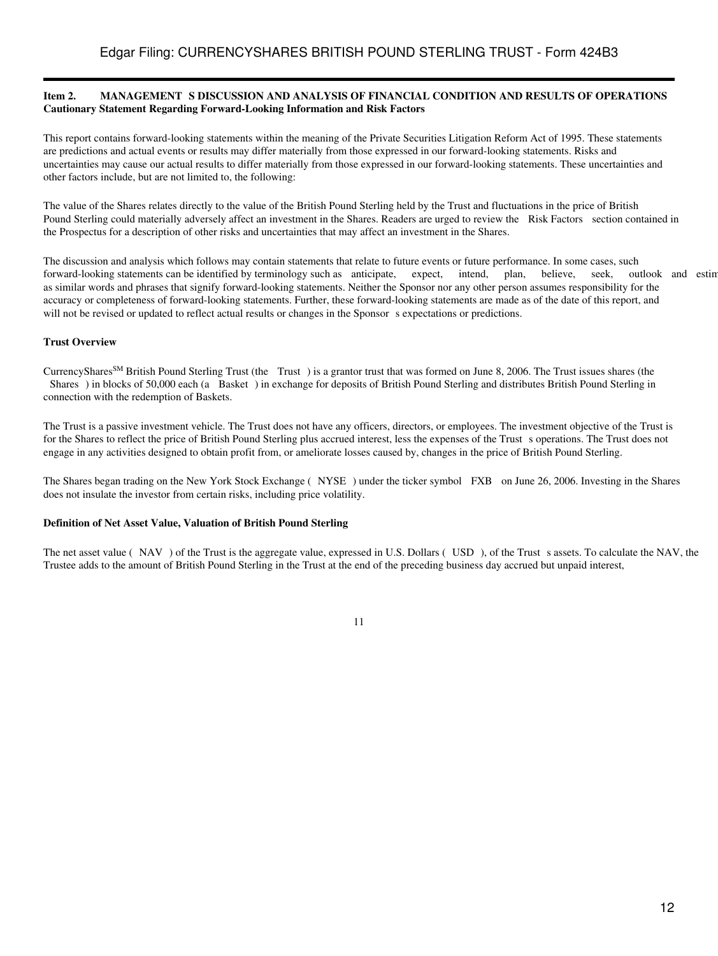#### <span id="page-11-0"></span>Item 2. MANAGEMENT S DISCUSSION AND ANALYSIS OF FINANCIAL CONDITION AND RESULTS OF OPERATIONS **Cautionary Statement Regarding Forward-Looking Information and Risk Factors**

This report contains forward-looking statements within the meaning of the Private Securities Litigation Reform Act of 1995. These statements are predictions and actual events or results may differ materially from those expressed in our forward-looking statements. Risks and uncertainties may cause our actual results to differ materially from those expressed in our forward-looking statements. These uncertainties and other factors include, but are not limited to, the following:

The value of the Shares relates directly to the value of the British Pound Sterling held by the Trust and fluctuations in the price of British Pound Sterling could materially adversely affect an investment in the Shares. Readers are urged to review the Risk Factors section contained in the Prospectus for a description of other risks and uncertainties that may affect an investment in the Shares.

The discussion and analysis which follows may contain statements that relate to future events or future performance. In some cases, such forward-looking statements can be identified by terminology such as anticipate, expect, intend, plan, believe, seek, outlook and estim as similar words and phrases that signify forward-looking statements. Neither the Sponsor nor any other person assumes responsibility for the accuracy or completeness of forward-looking statements. Further, these forward-looking statements are made as of the date of this report, and will not be revised or updated to reflect actual results or changes in the Sponsor s expectations or predictions.

## **Trust Overview**

CurrencySharesSM British Pound Sterling Trust (the Trust) is a grantor trust that was formed on June 8, 2006. The Trust issues shares (the Shares) in blocks of 50,000 each (a Basket) in exchange for deposits of British Pound Sterling and distributes British Pound Sterling in connection with the redemption of Baskets.

The Trust is a passive investment vehicle. The Trust does not have any officers, directors, or employees. The investment objective of the Trust is for the Shares to reflect the price of British Pound Sterling plus accrued interest, less the expenses of the Trust s operations. The Trust does not engage in any activities designed to obtain profit from, or ameliorate losses caused by, changes in the price of British Pound Sterling.

The Shares began trading on the New York Stock Exchange (NYSE) under the ticker symbol FXB on June 26, 2006. Investing in the Shares does not insulate the investor from certain risks, including price volatility.

#### **Definition of Net Asset Value, Valuation of British Pound Sterling**

The net asset value (NAV) of the Trust is the aggregate value, expressed in U.S. Dollars (USD), of the Trust s assets. To calculate the NAV, the Trustee adds to the amount of British Pound Sterling in the Trust at the end of the preceding business day accrued but unpaid interest,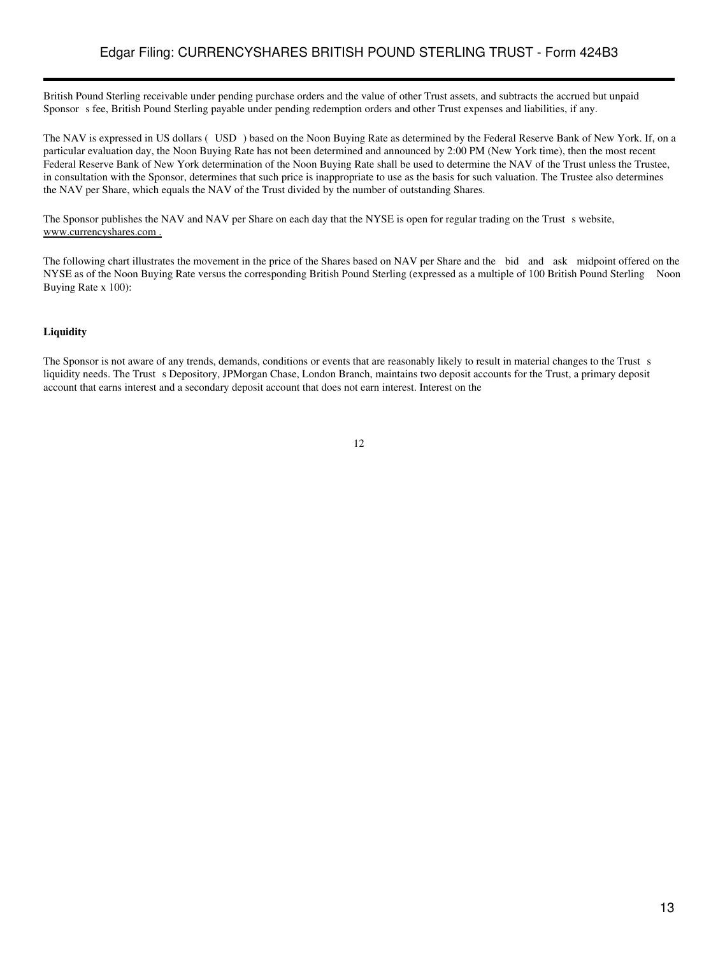# Edgar Filing: CURRENCYSHARES BRITISH POUND STERLING TRUST - Form 424B3

British Pound Sterling receivable under pending purchase orders and the value of other Trust assets, and subtracts the accrued but unpaid Sponsor s fee, British Pound Sterling payable under pending redemption orders and other Trust expenses and liabilities, if any.

The NAV is expressed in US dollars (USD) based on the Noon Buying Rate as determined by the Federal Reserve Bank of New York. If, on a particular evaluation day, the Noon Buying Rate has not been determined and announced by 2:00 PM (New York time), then the most recent Federal Reserve Bank of New York determination of the Noon Buying Rate shall be used to determine the NAV of the Trust unless the Trustee, in consultation with the Sponsor, determines that such price is inappropriate to use as the basis for such valuation. The Trustee also determines the NAV per Share, which equals the NAV of the Trust divided by the number of outstanding Shares.

The Sponsor publishes the NAV and NAV per Share on each day that the NYSE is open for regular trading on the Trust s website, www.currencyshares.com .

The following chart illustrates the movement in the price of the Shares based on NAV per Share and the bid and ask midpoint offered on the NYSE as of the Noon Buying Rate versus the corresponding British Pound Sterling (expressed as a multiple of 100 British Pound Sterling Noon Buying Rate x 100):

#### **Liquidity**

The Sponsor is not aware of any trends, demands, conditions or events that are reasonably likely to result in material changes to the Trust s liquidity needs. The Trust s Depository, JPMorgan Chase, London Branch, maintains two deposit accounts for the Trust, a primary deposit account that earns interest and a secondary deposit account that does not earn interest. Interest on the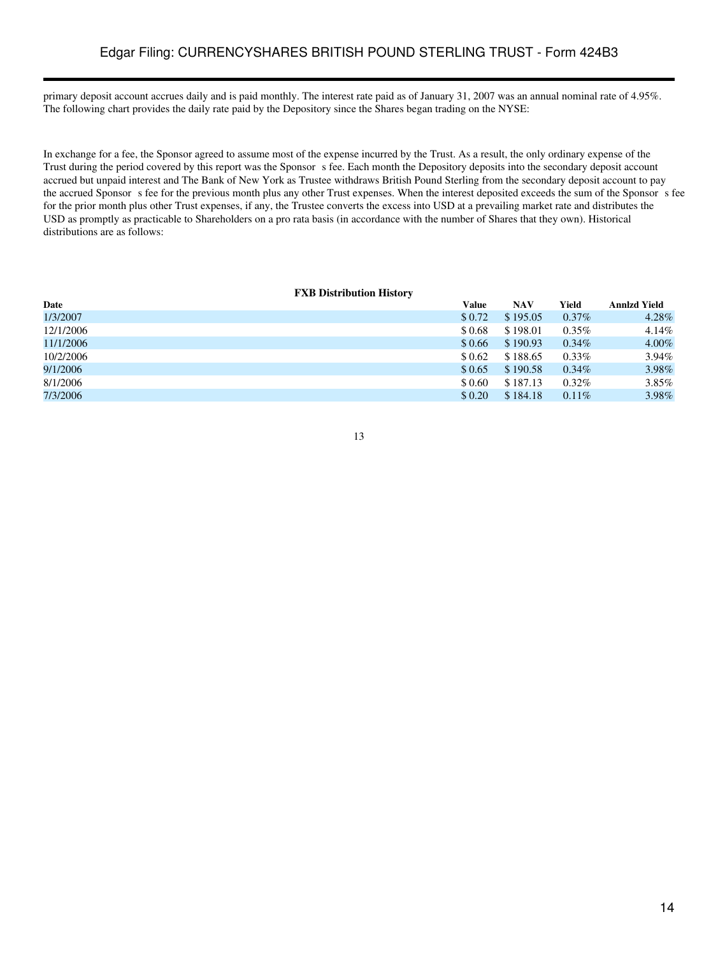primary deposit account accrues daily and is paid monthly. The interest rate paid as of January 31, 2007 was an annual nominal rate of 4.95%. The following chart provides the daily rate paid by the Depository since the Shares began trading on the NYSE:

In exchange for a fee, the Sponsor agreed to assume most of the expense incurred by the Trust. As a result, the only ordinary expense of the Trust during the period covered by this report was the Sponsor s fee. Each month the Depository deposits into the secondary deposit account accrued but unpaid interest and The Bank of New York as Trustee withdraws British Pound Sterling from the secondary deposit account to pay the accrued Sponsor s fee for the previous month plus any other Trust expenses. When the interest deposited exceeds the sum of the Sponsor s fee for the prior month plus other Trust expenses, if any, the Trustee converts the excess into USD at a prevailing market rate and distributes the USD as promptly as practicable to Shareholders on a pro rata basis (in accordance with the number of Shares that they own). Historical distributions are as follows:

#### **FXB Distribution History**

| Date      | Value  | NAV      | Yield    | <b>Annizd Yield</b> |
|-----------|--------|----------|----------|---------------------|
| 1/3/2007  | \$0.72 | \$195.05 | $0.37\%$ | 4.28%               |
| 12/1/2006 | \$0.68 | \$198.01 | $0.35\%$ | 4.14%               |
| 11/1/2006 | \$0.66 | \$190.93 | $0.34\%$ | 4.00%               |
| 10/2/2006 | \$0.62 | \$188.65 | $0.33\%$ | 3.94%               |
| 9/1/2006  | \$0.65 | \$190.58 | $0.34\%$ | 3.98%               |
| 8/1/2006  | \$0.60 | \$187.13 | $0.32\%$ | 3.85%               |
| 7/3/2006  | \$0.20 | \$184.18 | $0.11\%$ | 3.98%               |
|           |        |          |          |                     |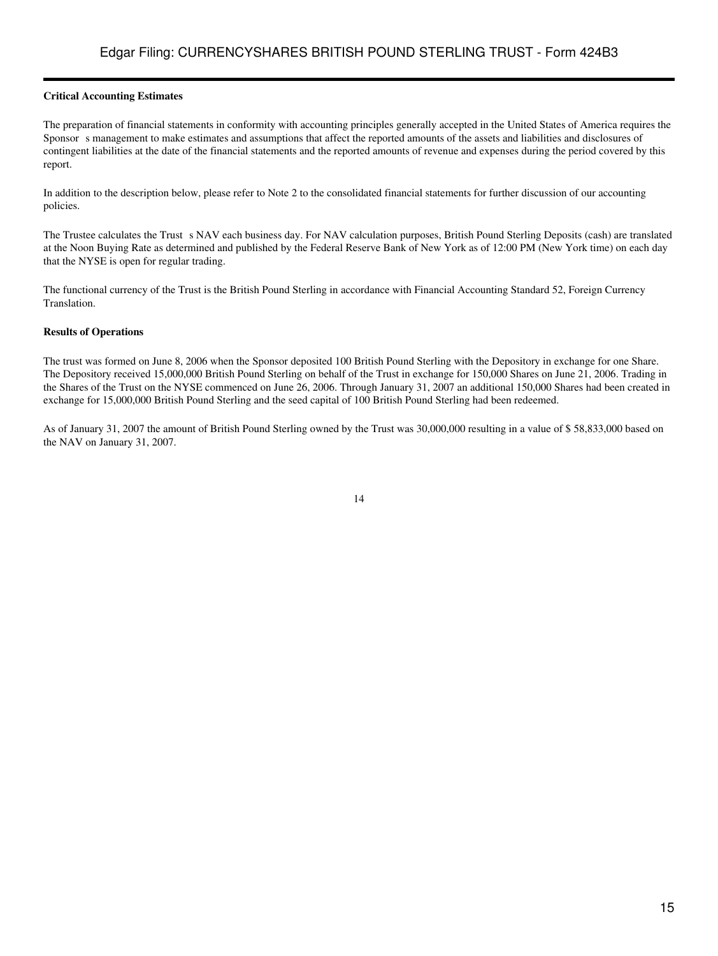## **Critical Accounting Estimates**

The preparation of financial statements in conformity with accounting principles generally accepted in the United States of America requires the Sponsor s management to make estimates and assumptions that affect the reported amounts of the assets and liabilities and disclosures of contingent liabilities at the date of the financial statements and the reported amounts of revenue and expenses during the period covered by this report.

In addition to the description below, please refer to Note 2 to the consolidated financial statements for further discussion of our accounting policies.

The Trustee calculates the Trust s NAV each business day. For NAV calculation purposes, British Pound Sterling Deposits (cash) are translated at the Noon Buying Rate as determined and published by the Federal Reserve Bank of New York as of 12:00 PM (New York time) on each day that the NYSE is open for regular trading.

The functional currency of the Trust is the British Pound Sterling in accordance with Financial Accounting Standard 52, Foreign Currency Translation.

#### **Results of Operations**

The trust was formed on June 8, 2006 when the Sponsor deposited 100 British Pound Sterling with the Depository in exchange for one Share. The Depository received 15,000,000 British Pound Sterling on behalf of the Trust in exchange for 150,000 Shares on June 21, 2006. Trading in the Shares of the Trust on the NYSE commenced on June 26, 2006. Through January 31, 2007 an additional 150,000 Shares had been created in exchange for 15,000,000 British Pound Sterling and the seed capital of 100 British Pound Sterling had been redeemed.

As of January 31, 2007 the amount of British Pound Sterling owned by the Trust was 30,000,000 resulting in a value of \$ 58,833,000 based on the NAV on January 31, 2007.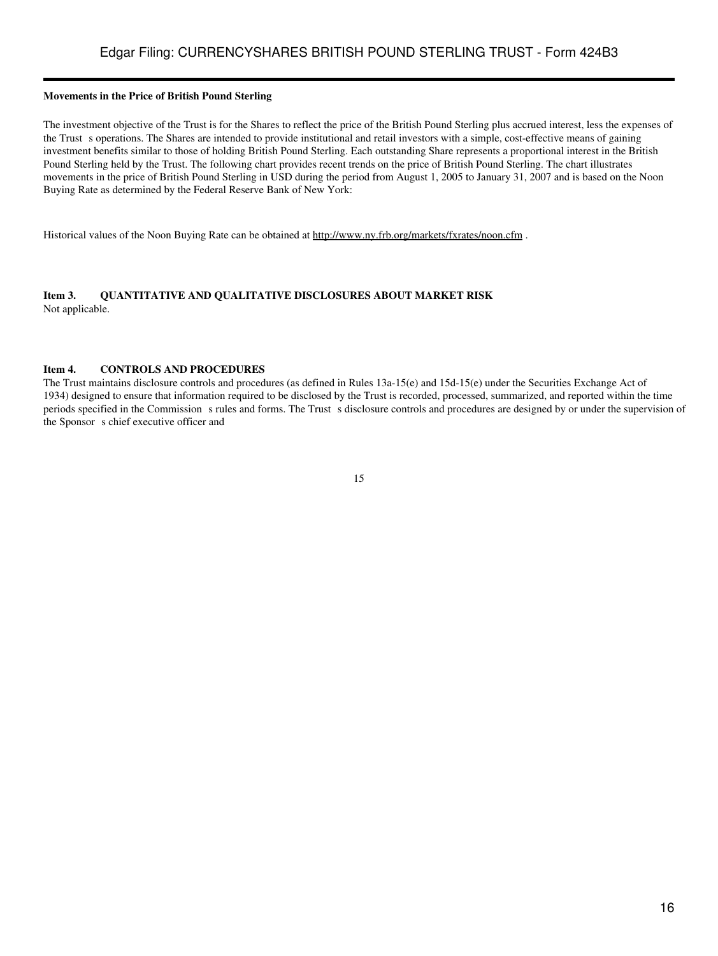### **Movements in the Price of British Pound Sterling**

The investment objective of the Trust is for the Shares to reflect the price of the British Pound Sterling plus accrued interest, less the expenses of the Trust s operations. The Shares are intended to provide institutional and retail investors with a simple, cost-effective means of gaining investment benefits similar to those of holding British Pound Sterling. Each outstanding Share represents a proportional interest in the British Pound Sterling held by the Trust. The following chart provides recent trends on the price of British Pound Sterling. The chart illustrates movements in the price of British Pound Sterling in USD during the period from August 1, 2005 to January 31, 2007 and is based on the Noon Buying Rate as determined by the Federal Reserve Bank of New York:

Historical values of the Noon Buying Rate can be obtained at http://www.ny.frb.org/markets/fxrates/noon.cfm .

### <span id="page-15-0"></span>**Item 3. QUANTITATIVE AND QUALITATIVE DISCLOSURES ABOUT MARKET RISK** Not applicable.

#### <span id="page-15-1"></span>**Item 4. CONTROLS AND PROCEDURES**

The Trust maintains disclosure controls and procedures (as defined in Rules 13a-15(e) and 15d-15(e) under the Securities Exchange Act of 1934) designed to ensure that information required to be disclosed by the Trust is recorded, processed, summarized, and reported within the time periods specified in the Commission s rules and forms. The Trust s disclosure controls and procedures are designed by or under the supervision of the Sponsor s chief executive officer and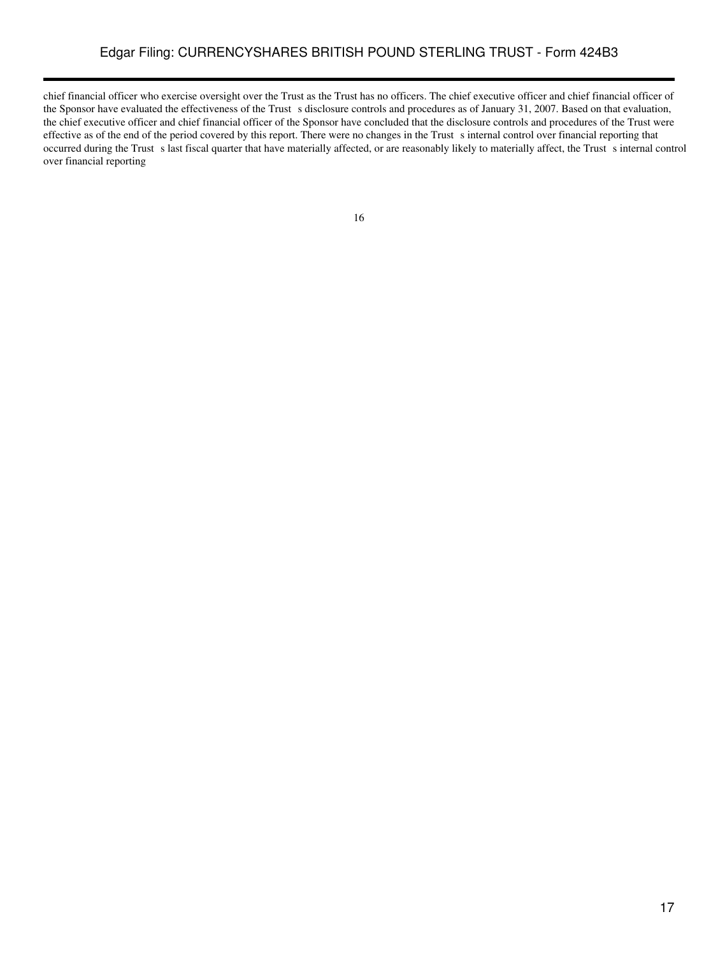# Edgar Filing: CURRENCYSHARES BRITISH POUND STERLING TRUST - Form 424B3

chief financial officer who exercise oversight over the Trust as the Trust has no officers. The chief executive officer and chief financial officer of the Sponsor have evaluated the effectiveness of the Trust s disclosure controls and procedures as of January 31, 2007. Based on that evaluation, the chief executive officer and chief financial officer of the Sponsor have concluded that the disclosure controls and procedures of the Trust were effective as of the end of the period covered by this report. There were no changes in the Trust s internal control over financial reporting that occurred during the Trust s last fiscal quarter that have materially affected, or are reasonably likely to materially affect, the Trust s internal control over financial reporting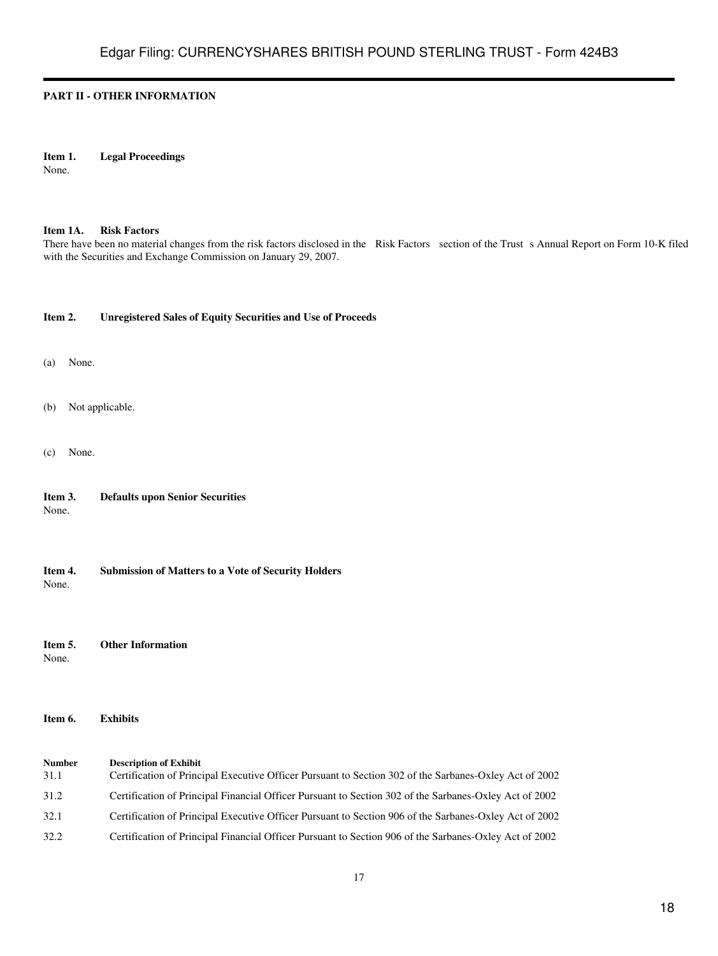## <span id="page-17-0"></span>**PART II - OTHER INFORMATION**

## <span id="page-17-1"></span>**Item 1. Legal Proceedings**

None.

#### <span id="page-17-2"></span>**Item 1A. Risk Factors**

There have been no material changes from the risk factors disclosed in the Risk Factors section of the Trust s Annual Report on Form 10-K filed with the Securities and Exchange Commission on January 29, 2007.

#### <span id="page-17-3"></span>**Item 2. Unregistered Sales of Equity Securities and Use of Proceeds**

- (a) None.
- (b) Not applicable.
- (c) None.

<span id="page-17-4"></span>

| Item 3. | <b>Defaults upon Senior Securities</b> |  |
|---------|----------------------------------------|--|
| None.   |                                        |  |

<span id="page-17-5"></span>**Item 4. Submission of Matters to a Vote of Security Holders** None.

<span id="page-17-6"></span>**Item 5. Other Information** None.

<span id="page-17-7"></span>**Item 6. Exhibits**

**Number Description of Exhibit** 31.1 Certification of Principal Executive Officer Pursuant to Section 302 of the Sarbanes-Oxley Act of 2002 31.2 Certification of Principal Financial Officer Pursuant to Section 302 of the Sarbanes-Oxley Act of 2002 32.1 Certification of Principal Executive Officer Pursuant to Section 906 of the Sarbanes-Oxley Act of 2002 32.2 Certification of Principal Financial Officer Pursuant to Section 906 of the Sarbanes-Oxley Act of 2002